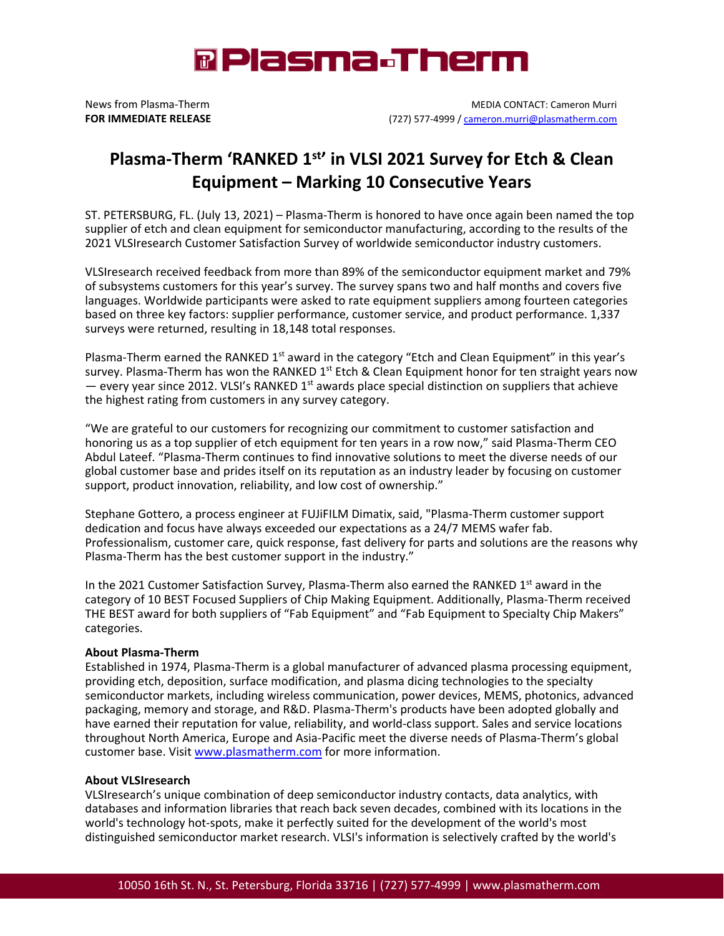

News from Plasma-Therm MEDIA CONTACT: Cameron Murri **FOR IMMEDIATE RELEASE** (727) 577-4999 [/ cameron.murri@plasmatherm.com](mailto:cameron.murri@plasmatherm.com)

## **Plasma-Therm 'RANKED 1st' in VLSI 2021 Survey for Etch & Clean Equipment – Marking 10 Consecutive Years**

ST. PETERSBURG, FL. (July 13, 2021) – Plasma-Therm is honored to have once again been named the top supplier of etch and clean equipment for semiconductor manufacturing, according to the results of the 2021 VLSIresearch Customer Satisfaction Survey of worldwide semiconductor industry customers.

VLSIresearch received feedback from more than 89% of the semiconductor equipment market and 79% of subsystems customers for this year's survey. The survey spans two and half months and covers five languages. Worldwide participants were asked to rate equipment suppliers among fourteen categories based on three key factors: supplier performance, customer service, and product performance. 1,337 surveys were returned, resulting in 18,148 total responses.

Plasma-Therm earned the RANKED 1<sup>st</sup> award in the category "Etch and Clean Equipment" in this year's survey. Plasma-Therm has won the RANKED  $1^{st}$  Etch & Clean Equipment honor for ten straight years now — every year since 2012. VLSI's RANKED  $1<sup>st</sup>$  awards place special distinction on suppliers that achieve the highest rating from customers in any survey category.

"We are grateful to our customers for recognizing our commitment to customer satisfaction and honoring us as a top supplier of etch equipment for ten years in a row now," said Plasma-Therm CEO Abdul Lateef. "Plasma-Therm continues to find innovative solutions to meet the diverse needs of our global customer base and prides itself on its reputation as an industry leader by focusing on customer support, product innovation, reliability, and low cost of ownership."

Stephane Gottero, a process engineer at FUJiFILM Dimatix, said, "Plasma-Therm customer support dedication and focus have always exceeded our expectations as a 24/7 MEMS wafer fab. Professionalism, customer care, quick response, fast delivery for parts and solutions are the reasons why Plasma-Therm has the best customer support in the industry."

In the 2021 Customer Satisfaction Survey, Plasma-Therm also earned the RANKED 1<sup>st</sup> award in the category of 10 BEST Focused Suppliers of Chip Making Equipment. Additionally, Plasma-Therm received THE BEST award for both suppliers of "Fab Equipment" and "Fab Equipment to Specialty Chip Makers" categories.

## **About Plasma-Therm**

Established in 1974, Plasma-Therm is a global manufacturer of advanced plasma processing equipment, providing etch, deposition, surface modification, and plasma dicing technologies to the specialty semiconductor markets, including wireless communication, power devices, MEMS, photonics, advanced packaging, memory and storage, and R&D. Plasma-Therm's products have been adopted globally and have earned their reputation for value, reliability, and world-class support. Sales and service locations throughout North America, Europe and Asia-Pacific meet the diverse needs of Plasma-Therm's global customer base. Visi[t www.plasmatherm.com](http://www.plasmatherm.com/index.html) for more information.

## **About VLSIresearch**

VLSIresearch's unique combination of deep semiconductor industry contacts, data analytics, with databases and information libraries that reach back seven decades, combined with its locations in the world's technology hot-spots, make it perfectly suited for the development of the world's most distinguished semiconductor market research. VLSI's information is selectively crafted by the world's